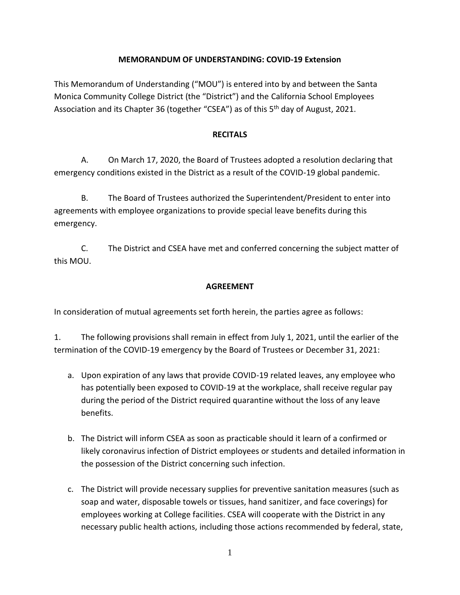## **MEMORANDUM OF UNDERSTANDING: COVID-19 Extension**

This Memorandum of Understanding ("MOU") is entered into by and between the Santa Monica Community College District (the "District") and the California School Employees Association and its Chapter 36 (together "CSEA") as of this 5<sup>th</sup> day of August, 2021.

## **RECITALS**

A. On March 17, 2020, the Board of Trustees adopted a resolution declaring that emergency conditions existed in the District as a result of the COVID-19 global pandemic.

B. The Board of Trustees authorized the Superintendent/President to enter into agreements with employee organizations to provide special leave benefits during this emergency.

C. The District and CSEA have met and conferred concerning the subject matter of this MOU.

## **AGREEMENT**

In consideration of mutual agreements set forth herein, the parties agree as follows:

1. The following provisions shall remain in effect from July 1, 2021, until the earlier of the termination of the COVID-19 emergency by the Board of Trustees or December 31, 2021:

- a. Upon expiration of any laws that provide COVID-19 related leaves, any employee who has potentially been exposed to COVID-19 at the workplace, shall receive regular pay during the period of the District required quarantine without the loss of any leave benefits.
- b. The District will inform CSEA as soon as practicable should it learn of a confirmed or likely coronavirus infection of District employees or students and detailed information in the possession of the District concerning such infection.
- c. The District will provide necessary supplies for preventive sanitation measures (such as soap and water, disposable towels or tissues, hand sanitizer, and face coverings) for employees working at College facilities. CSEA will cooperate with the District in any necessary public health actions, including those actions recommended by federal, state,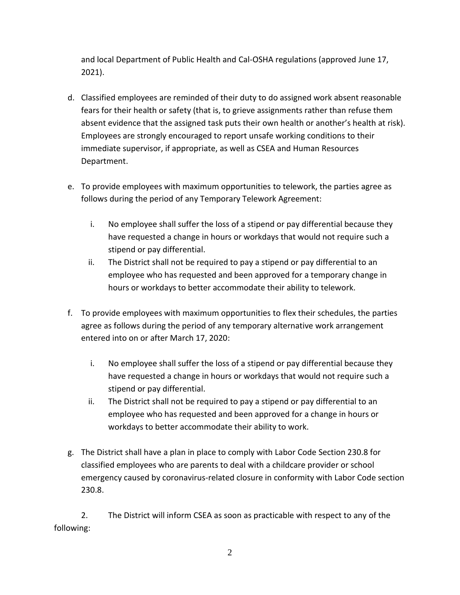and local Department of Public Health and Cal-OSHA regulations (approved June 17, 2021).

- d. Classified employees are reminded of their duty to do assigned work absent reasonable fears for their health or safety (that is, to grieve assignments rather than refuse them absent evidence that the assigned task puts their own health or another's health at risk). Employees are strongly encouraged to report unsafe working conditions to their immediate supervisor, if appropriate, as well as CSEA and Human Resources Department.
- e. To provide employees with maximum opportunities to telework, the parties agree as follows during the period of any Temporary Telework Agreement:
	- i. No employee shall suffer the loss of a stipend or pay differential because they have requested a change in hours or workdays that would not require such a stipend or pay differential.
	- ii. The District shall not be required to pay a stipend or pay differential to an employee who has requested and been approved for a temporary change in hours or workdays to better accommodate their ability to telework.
- f. To provide employees with maximum opportunities to flex their schedules, the parties agree as follows during the period of any temporary alternative work arrangement entered into on or after March 17, 2020:
	- i. No employee shall suffer the loss of a stipend or pay differential because they have requested a change in hours or workdays that would not require such a stipend or pay differential.
	- ii. The District shall not be required to pay a stipend or pay differential to an employee who has requested and been approved for a change in hours or workdays to better accommodate their ability to work.
- g. The District shall have a plan in place to comply with Labor Code Section 230.8 for classified employees who are parents to deal with a childcare provider or school emergency caused by coronavirus-related closure in conformity with Labor Code section 230.8.

2. The District will inform CSEA as soon as practicable with respect to any of the following: